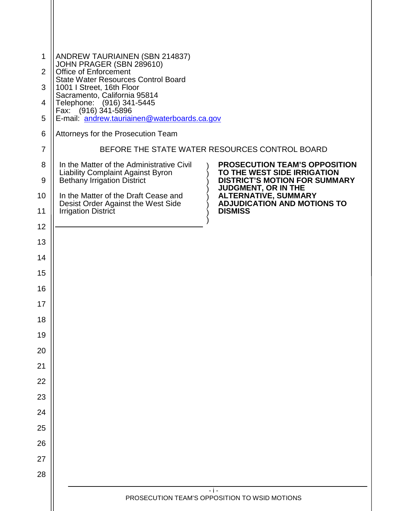| 1              | ANDREW TAURIAINEN (SBN 214837)                                                                                                                                                                                                             |
|----------------|--------------------------------------------------------------------------------------------------------------------------------------------------------------------------------------------------------------------------------------------|
| $\overline{2}$ | JOHN PRAGER (SBN 289610)<br>Office of Enforcement                                                                                                                                                                                          |
| 3              | <b>State Water Resources Control Board</b><br>1001 I Street, 16th Floor                                                                                                                                                                    |
| 4              | Sacramento, California 95814<br>Telephone: (916) 341-5445                                                                                                                                                                                  |
| 5              | Fax: (916) 341-5896<br>E-mail: andrew.tauriainen@waterboards.ca.gov                                                                                                                                                                        |
| 6              | Attorneys for the Prosecution Team                                                                                                                                                                                                         |
| $\overline{7}$ | BEFORE THE STATE WATER RESOURCES CONTROL BOARD                                                                                                                                                                                             |
| 8<br>9         | <b>PROSECUTION TEAM'S OPPOSITION</b><br>In the Matter of the Administrative Civil<br><b>Liability Complaint Against Byron</b><br>TO THE WEST SIDE IRRIGATION<br><b>Bethany Irrigation District</b><br><b>DISTRICT'S MOTION FOR SUMMARY</b> |
| 10             | <b>JUDGMENT, OR IN THE</b><br><b>ALTERNATIVE, SUMMARY</b><br>In the Matter of the Draft Cease and                                                                                                                                          |
| 11             | <b>ADJUDICATION AND MOTIONS TO</b><br>Desist Order Against the West Side<br><b>DISMISS</b><br><b>Irrigation District</b>                                                                                                                   |
| 12             |                                                                                                                                                                                                                                            |
| 13             |                                                                                                                                                                                                                                            |
| 14             |                                                                                                                                                                                                                                            |
| 15             |                                                                                                                                                                                                                                            |
| 16             |                                                                                                                                                                                                                                            |
| 17             |                                                                                                                                                                                                                                            |
| 18             |                                                                                                                                                                                                                                            |
| 19             |                                                                                                                                                                                                                                            |
| 20             |                                                                                                                                                                                                                                            |
| 21             |                                                                                                                                                                                                                                            |
| 22             |                                                                                                                                                                                                                                            |
| 23             |                                                                                                                                                                                                                                            |
| 24             |                                                                                                                                                                                                                                            |
| 25             |                                                                                                                                                                                                                                            |
| 26             |                                                                                                                                                                                                                                            |
| 27             |                                                                                                                                                                                                                                            |
| 28             |                                                                                                                                                                                                                                            |
|                | $-1-$<br>PROSECUTION TEAM'S OPPOSITION TO WSID MOTIONS                                                                                                                                                                                     |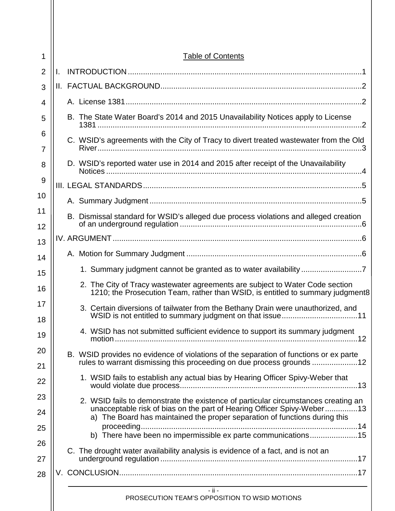| 1              | <b>Table of Contents</b>                                                                                                                                       |
|----------------|----------------------------------------------------------------------------------------------------------------------------------------------------------------|
| $\overline{2}$ | I.                                                                                                                                                             |
| 3              |                                                                                                                                                                |
| 4              |                                                                                                                                                                |
| 5              | B. The State Water Board's 2014 and 2015 Unavailability Notices apply to License                                                                               |
| 6              | C. WSID's agreements with the City of Tracy to divert treated wastewater from the Old                                                                          |
| 7              |                                                                                                                                                                |
| 8              | D. WSID's reported water use in 2014 and 2015 after receipt of the Unavailability                                                                              |
| 9              |                                                                                                                                                                |
| 10             |                                                                                                                                                                |
| 11             | B. Dismissal standard for WSID's alleged due process violations and alleged creation                                                                           |
| 12             |                                                                                                                                                                |
| 13             |                                                                                                                                                                |
| 14             |                                                                                                                                                                |
| 15             |                                                                                                                                                                |
| 16             | 2. The City of Tracy wastewater agreements are subject to Water Code section<br>1210; the Prosecution Team, rather than WSID, is entitled to summary judgment8 |
| 17<br>18       | 3. Certain diversions of tailwater from the Bethany Drain were unauthorized, and                                                                               |
| 19             | 4. WSID has not submitted sufficient evidence to support its summary judgment                                                                                  |
| 20             | B. WSID provides no evidence of violations of the separation of functions or ex parte                                                                          |
| 21             | rules to warrant dismissing this proceeding on due process grounds 12                                                                                          |
| 22             | 1. WSID fails to establish any actual bias by Hearing Officer Spivy-Weber that                                                                                 |
| 23             | 2. WSID fails to demonstrate the existence of particular circumstances creating an                                                                             |
| 24             | unacceptable risk of bias on the part of Hearing Officer Spivy-Weber13<br>a) The Board has maintained the proper separation of functions during this           |
| 25             | b) There have been no impermissible ex parte communications15                                                                                                  |
| 26             | C. The drought water availability analysis is evidence of a fact, and is not an                                                                                |
| 27             |                                                                                                                                                                |
| 28             |                                                                                                                                                                |
|                | $-$ ii $-$<br>PROSECUTION TEAM'S OPPOSITION TO WSID MOTIONS                                                                                                    |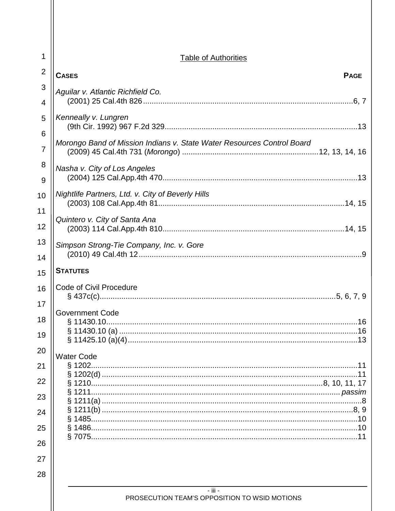| 1                   | <b>Table of Authorities</b>                                            |
|---------------------|------------------------------------------------------------------------|
| $\overline{2}$      | <b>CASES</b><br><b>PAGE</b>                                            |
| 3<br>$\overline{4}$ | Aguilar v. Atlantic Richfield Co.                                      |
| 5                   | Kenneally v. Lungren                                                   |
| 6<br>$\overline{7}$ | Morongo Band of Mission Indians v. State Water Resources Control Board |
| 8<br>9              | Nasha v. City of Los Angeles                                           |
| 10                  | Nightlife Partners, Ltd. v. City of Beverly Hills                      |
| 11<br>12            | Quintero v. City of Santa Ana                                          |
| 13<br>14            | Simpson Strong-Tie Company, Inc. v. Gore                               |
| 15                  | <b>STATUTES</b>                                                        |
| 16                  | <b>Code of Civil Procedure</b>                                         |
| 17<br>18<br>19      | Government Code                                                        |
| 20                  | <b>Water Code</b>                                                      |
| 21                  | § 1202.                                                                |
| 22                  |                                                                        |
| 23<br>24            |                                                                        |
| 25                  |                                                                        |
| 26                  |                                                                        |
| 27                  |                                                                        |
| 28                  |                                                                        |
|                     | $-$ iii $-$<br>PROSECUTION TEAM'S OPPOSITION TO WSID MOTIONS           |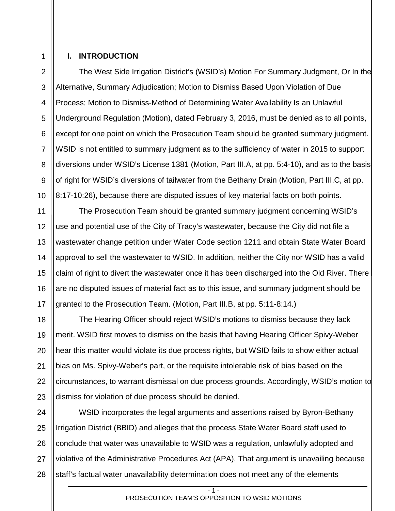## 1 2

3

4

## <span id="page-3-0"></span>**I. INTRODUCTION**

The West Side Irrigation District's (WSID's) Motion For Summary Judgment, Or In the Alternative, Summary Adjudication; Motion to Dismiss Based Upon Violation of Due Process; Motion to Dismiss-Method of Determining Water Availability Is an Unlawful Underground Regulation (Motion), dated February 3, 2016, must be denied as to all points, except for one point on which the Prosecution Team should be granted summary judgment. WSID is not entitled to summary judgment as to the sufficiency of water in 2015 to support diversions under WSID's License 1381 (Motion, Part III.A, at pp. 5:4-10), and as to the basis of right for WSID's diversions of tailwater from the Bethany Drain (Motion, Part III.C, at pp. 8:17-10:26), because there are disputed issues of key material facts on both points.

The Prosecution Team should be granted summary judgment concerning WSID's use and potential use of the City of Tracy's wastewater, because the City did not file a wastewater change petition under Water Code section 1211 and obtain State Water Board approval to sell the wastewater to WSID. In addition, neither the City nor WSID has a valid claim of right to divert the wastewater once it has been discharged into the Old River. There are no disputed issues of material fact as to this issue, and summary judgment should be granted to the Prosecution Team. (Motion, Part III.B, at pp. 5:11-8:14.)

The Hearing Officer should reject WSID's motions to dismiss because they lack merit. WSID first moves to dismiss on the basis that having Hearing Officer Spivy-Weber hear this matter would violate its due process rights, but WSID fails to show either actual bias on Ms. Spivy-Weber's part, or the requisite intolerable risk of bias based on the circumstances, to warrant dismissal on due process grounds. Accordingly, WSID's motion to dismiss for violation of due process should be denied.

28 WSID incorporates the legal arguments and assertions raised by Byron-Bethany Irrigation District (BBID) and alleges that the process State Water Board staff used to conclude that water was unavailable to WSID was a regulation, unlawfully adopted and violative of the Administrative Procedures Act (APA). That argument is unavailing because staff's factual water unavailability determination does not meet any of the elements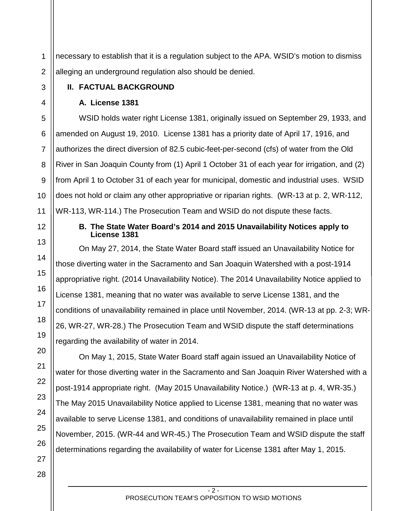1 2 necessary to establish that it is a regulation subject to the APA. WSID's motion to dismiss alleging an underground regulation also should be denied.

## <span id="page-4-1"></span><span id="page-4-0"></span>**II. FACTUAL BACKGROUND**

## **A. License 1381**

5 6 7 8 9 10 11 WSID holds water right License 1381, originally issued on September 29, 1933, and amended on August 19, 2010. License 1381 has a priority date of April 17, 1916, and authorizes the direct diversion of 82.5 cubic-feet-per-second (cfs) of water from the Old River in San Joaquin County from (1) April 1 October 31 of each year for irrigation, and (2) from April 1 to October 31 of each year for municipal, domestic and industrial uses. WSID does not hold or claim any other appropriative or riparian rights. (WR-13 at p. 2, WR-112, WR-113, WR-114.) The Prosecution Team and WSID do not dispute these facts.

# <span id="page-4-2"></span>12

13

14

15

16

17

18

19

20

21

22

23

24

25

26

3

4

## **B. The State Water Board's 2014 and 2015 Unavailability Notices apply to License 1381**

On May 27, 2014, the State Water Board staff issued an Unavailability Notice for those diverting water in the Sacramento and San Joaquin Watershed with a post-1914 appropriative right. (2014 Unavailability Notice). The 2014 Unavailability Notice applied to License 1381, meaning that no water was available to serve License 1381, and the conditions of unavailability remained in place until November, 2014. (WR-13 at pp. 2-3; WR-26, WR-27, WR-28.) The Prosecution Team and WSID dispute the staff determinations regarding the availability of water in 2014.

On May 1, 2015, State Water Board staff again issued an Unavailability Notice of water for those diverting water in the Sacramento and San Joaquin River Watershed with a post-1914 appropriate right. (May 2015 Unavailability Notice.) (WR-13 at p. 4, WR-35.) The May 2015 Unavailability Notice applied to License 1381, meaning that no water was available to serve License 1381, and conditions of unavailability remained in place until November, 2015. (WR-44 and WR-45.) The Prosecution Team and WSID dispute the staff determinations regarding the availability of water for License 1381 after May 1, 2015.

> $-2 -$ PROSECUTION TEAM'S OPPOSITION TO WSID MOTIONS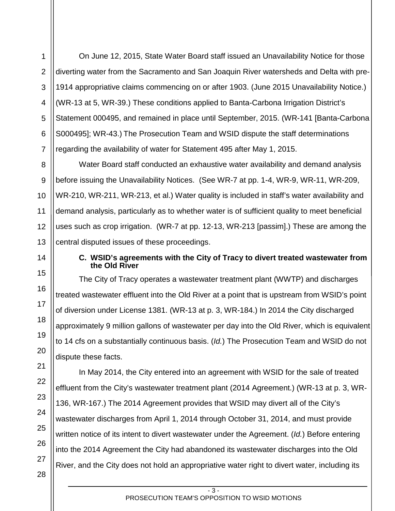On June 12, 2015, State Water Board staff issued an Unavailability Notice for those diverting water from the Sacramento and San Joaquin River watersheds and Delta with pre-1914 appropriative claims commencing on or after 1903. (June 2015 Unavailability Notice.) (WR-13 at 5, WR-39.) These conditions applied to Banta-Carbona Irrigation District's Statement 000495, and remained in place until September, 2015. (WR-141 [Banta-Carbona S000495]; WR-43.) The Prosecution Team and WSID dispute the staff determinations regarding the availability of water for Statement 495 after May 1, 2015.

Water Board staff conducted an exhaustive water availability and demand analysis before issuing the Unavailability Notices. (See WR-7 at pp. 1-4, WR-9, WR-11, WR-209, WR-210, WR-211, WR-213, et al.) Water quality is included in staff's water availability and demand analysis, particularly as to whether water is of sufficient quality to meet beneficial uses such as crop irrigation. (WR-7 at pp. 12-13, WR-213 [passim].) These are among the central disputed issues of these proceedings.

1

2

3

4

5

6

7

8

9

### <span id="page-5-0"></span>**C. WSID's agreements with the City of Tracy to divert treated wastewater from the Old River**

The City of Tracy operates a wastewater treatment plant (WWTP) and discharges treated wastewater effluent into the Old River at a point that is upstream from WSID's point of diversion under License 1381. (WR-13 at p. 3, WR-184.) In 2014 the City discharged approximately 9 million gallons of wastewater per day into the Old River, which is equivalent to 14 cfs on a substantially continuous basis. (*Id.*) The Prosecution Team and WSID do not dispute these facts.

In May 2014, the City entered into an agreement with WSID for the sale of treated effluent from the City's wastewater treatment plant (2014 Agreement.) (WR-13 at p. 3, WR-136, WR-167.) The 2014 Agreement provides that WSID may divert all of the City's wastewater discharges from April 1, 2014 through October 31, 2014, and must provide written notice of its intent to divert wastewater under the Agreement. (*Id.*) Before entering into the 2014 Agreement the City had abandoned its wastewater discharges into the Old River, and the City does not hold an appropriative water right to divert water, including its

> $-3 -$ PROSECUTION TEAM'S OPPOSITION TO WSID MOTIONS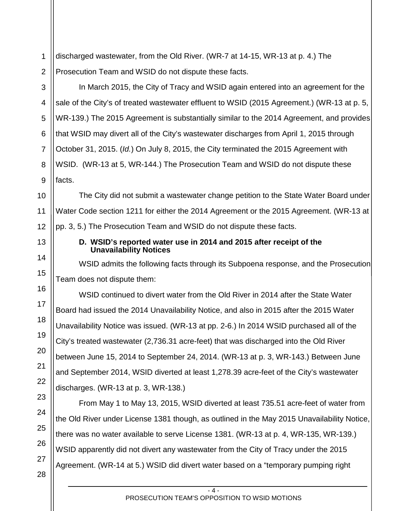1 2 discharged wastewater, from the Old River. (WR-7 at 14-15, WR-13 at p. 4.) The Prosecution Team and WSID do not dispute these facts.

In March 2015, the City of Tracy and WSID again entered into an agreement for the sale of the City's of treated wastewater effluent to WSID (2015 Agreement.) (WR-13 at p. 5, WR-139.) The 2015 Agreement is substantially similar to the 2014 Agreement, and provides that WSID may divert all of the City's wastewater discharges from April 1, 2015 through October 31, 2015. (*Id.*) On July 8, 2015, the City terminated the 2015 Agreement with WSID. (WR-13 at 5, WR-144.) The Prosecution Team and WSID do not dispute these facts.

The City did not submit a wastewater change petition to the State Water Board under Water Code section 1211 for either the 2014 Agreement or the 2015 Agreement. (WR-13 at pp. 3, 5.) The Prosecution Team and WSID do not dispute these facts.

## <span id="page-6-0"></span>**D. WSID's reported water use in 2014 and 2015 after receipt of the Unavailability Notices**

WSID admits the following facts through its Subpoena response, and the Prosecution Team does not dispute them:

WSID continued to divert water from the Old River in 2014 after the State Water Board had issued the 2014 Unavailability Notice, and also in 2015 after the 2015 Water Unavailability Notice was issued. (WR-13 at pp. 2-6.) In 2014 WSID purchased all of the City's treated wastewater (2,736.31 acre-feet) that was discharged into the Old River between June 15, 2014 to September 24, 2014. (WR-13 at p. 3, WR-143.) Between June and September 2014, WSID diverted at least 1,278.39 acre-feet of the City's wastewater discharges. (WR-13 at p. 3, WR-138.)

From May 1 to May 13, 2015, WSID diverted at least 735.51 acre-feet of water from the Old River under License 1381 though, as outlined in the May 2015 Unavailability Notice, there was no water available to serve License 1381. (WR-13 at p. 4, WR-135, WR-139.) WSID apparently did not divert any wastewater from the City of Tracy under the 2015 Agreement. (WR-14 at 5.) WSID did divert water based on a "temporary pumping right

> $- 4 -$ PROSECUTION TEAM'S OPPOSITION TO WSID MOTIONS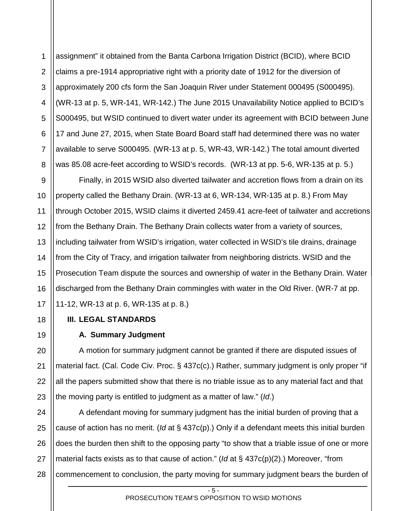1 2 3 4 5 6 7 8 assignment" it obtained from the Banta Carbona Irrigation District (BCID), where BCID claims a pre-1914 appropriative right with a priority date of 1912 for the diversion of approximately 200 cfs form the San Joaquin River under Statement 000495 (S000495). (WR-13 at p. 5, WR-141, WR-142.) The June 2015 Unavailability Notice applied to BCID's S000495, but WSID continued to divert water under its agreement with BCID between June 17 and June 27, 2015, when State Board Board staff had determined there was no water available to serve S000495. (WR-13 at p. 5, WR-43, WR-142.) The total amount diverted was 85.08 acre-feet according to WSID's records. (WR-13 at pp. 5-6, WR-135 at p. 5.)

9 10 11 12 13 14 15 16 17 Finally, in 2015 WSID also diverted tailwater and accretion flows from a drain on its property called the Bethany Drain. (WR-13 at 6, WR-134, WR-135 at p. 8.) From May through October 2015, WSID claims it diverted 2459.41 acre-feet of tailwater and accretions from the Bethany Drain. The Bethany Drain collects water from a variety of sources, including tailwater from WSID's irrigation, water collected in WSID's tile drains, drainage from the City of Tracy, and irrigation tailwater from neighboring districts. WSID and the Prosecution Team dispute the sources and ownership of water in the Bethany Drain. Water discharged from the Bethany Drain commingles with water in the Old River. (WR-7 at pp. 11-12, WR-13 at p. 6, WR-135 at p. 8.)

## <span id="page-7-1"></span><span id="page-7-0"></span>**III. LEGAL STANDARDS**

18

19

20

21

22

23

## **A. Summary Judgment**

A motion for summary judgment cannot be granted if there are disputed issues of material fact. (Cal. Code Civ. Proc. § 437c(c).) Rather, summary judgment is only proper "if all the papers submitted show that there is no triable issue as to any material fact and that the moving party is entitled to judgment as a matter of law." (*Id*.)

24 25 26 27 28 A defendant moving for summary judgment has the initial burden of proving that a cause of action has no merit. (*Id* at § 437c(p).) Only if a defendant meets this initial burden does the burden then shift to the opposing party "to show that a triable issue of one or more material facts exists as to that cause of action." (*Id* at § 437c(p)(2).) Moreover, "from commencement to conclusion, the party moving for summary judgment bears the burden of

- 5 -

#### PROSECUTION TEAM'S OPPOSITION TO WSID MOTIONS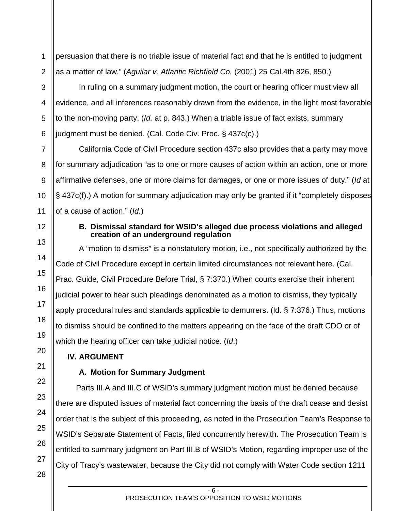1 2 persuasion that there is no triable issue of material fact and that he is entitled to judgment as a matter of law." (*Aguilar v. Atlantic Richfield Co.* (2001) 25 Cal.4th 826, 850.)

In ruling on a summary judgment motion, the court or hearing officer must view all evidence, and all inferences reasonably drawn from the evidence, in the light most favorable to the non-moving party. (*Id.* at p. 843.) When a triable issue of fact exists, summary judgment must be denied. (Cal. Code Civ. Proc. § 437c(c).)

California Code of Civil Procedure section 437c also provides that a party may move for summary adjudication "as to one or more causes of action within an action, one or more affirmative defenses, one or more claims for damages, or one or more issues of duty." (*Id* at § 437c(f).) A motion for summary adjudication may only be granted if it "completely disposes of a cause of action." (*Id.*)

## <span id="page-8-0"></span>**B. Dismissal standard for WSID's alleged due process violations and alleged creation of an underground regulation**

A "motion to dismiss" is a nonstatutory motion, i.e., not specifically authorized by the Code of Civil Procedure except in certain limited circumstances not relevant here. (Cal. Prac. Guide, Civil Procedure Before Trial, § 7:370.) When courts exercise their inherent judicial power to hear such pleadings denominated as a motion to dismiss, they typically apply procedural rules and standards applicable to demurrers. (Id. § 7:376.) Thus, motions to dismiss should be confined to the matters appearing on the face of the draft CDO or of which the hearing officer can take judicial notice. (*Id*.)

## <span id="page-8-2"></span><span id="page-8-1"></span>**IV. ARGUMENT**

## **A. Motion for Summary Judgment**

Parts III.A and III.C of WSID's summary judgment motion must be denied because there are disputed issues of material fact concerning the basis of the draft cease and desist order that is the subject of this proceeding, as noted in the Prosecution Team's Response to WSID's Separate Statement of Facts, filed concurrently herewith. The Prosecution Team is entitled to summary judgment on Part III.B of WSID's Motion, regarding improper use of the City of Tracy's wastewater, because the City did not comply with Water Code section 1211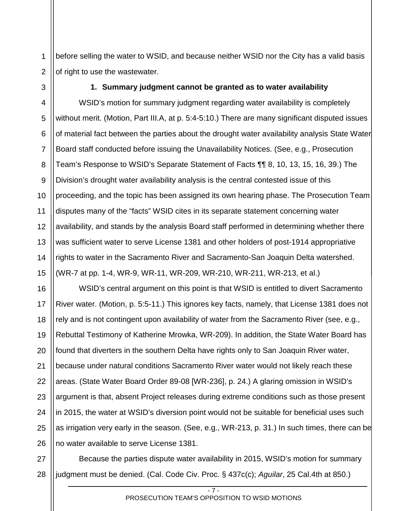1 2 before selling the water to WSID, and because neither WSID nor the City has a valid basis of right to use the wastewater.

<span id="page-9-0"></span>3

### **1. Summary judgment cannot be granted as to water availability**

4 5 6 7 8 9 10 11 12 13 14 15 WSID's motion for summary judgment regarding water availability is completely without merit. (Motion, Part III.A, at p. 5:4-5:10.) There are many significant disputed issues of material fact between the parties about the drought water availability analysis State Water Board staff conducted before issuing the Unavailability Notices. (See, e.g., Prosecution Team's Response to WSID's Separate Statement of Facts ¶¶ 8, 10, 13, 15, 16, 39.) The Division's drought water availability analysis is the central contested issue of this proceeding, and the topic has been assigned its own hearing phase. The Prosecution Team disputes many of the "facts" WSID cites in its separate statement concerning water availability, and stands by the analysis Board staff performed in determining whether there was sufficient water to serve License 1381 and other holders of post-1914 appropriative rights to water in the Sacramento River and Sacramento-San Joaquin Delta watershed. (WR-7 at pp. 1-4, WR-9, WR-11, WR-209, WR-210, WR-211, WR-213, et al.)

16 17 18 19 20 21 22 23 24 25 26 WSID's central argument on this point is that WSID is entitled to divert Sacramento River water. (Motion, p. 5:5-11.) This ignores key facts, namely, that License 1381 does not rely and is not contingent upon availability of water from the Sacramento River (see, e.g., Rebuttal Testimony of Katherine Mrowka, WR-209). In addition, the State Water Board has found that diverters in the southern Delta have rights only to San Joaquin River water, because under natural conditions Sacramento River water would not likely reach these areas. (State Water Board Order 89-08 [WR-236], p. 24.) A glaring omission in WSID's argument is that, absent Project releases during extreme conditions such as those present in 2015, the water at WSID's diversion point would not be suitable for beneficial uses such as irrigation very early in the season. (See, e.g., WR-213, p. 31.) In such times, there can be no water available to serve License 1381.

28 Because the parties dispute water availability in 2015, WSID's motion for summary judgment must be denied. (Cal. Code Civ. Proc. § 437c(c); *Aguilar*, 25 Cal.4th at 850.)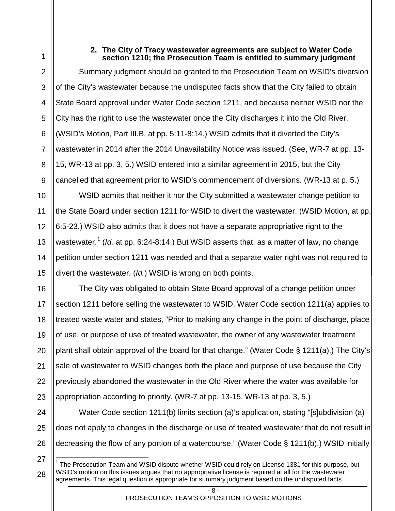<span id="page-10-0"></span>

1

2

3

4

5

6

7

8

9

10

11

12

13

14

15

<span id="page-10-1"></span>27

28

## **2. The City of Tracy wastewater agreements are subject to Water Code section 1210; the Prosecution Team is entitled to summary judgment**

Summary judgment should be granted to the Prosecution Team on WSID's diversion of the City's wastewater because the undisputed facts show that the City failed to obtain State Board approval under Water Code section 1211, and because neither WSID nor the City has the right to use the wastewater once the City discharges it into the Old River. (WSID's Motion, Part III.B, at pp. 5:11-8:14.) WSID admits that it diverted the City's wastewater in 2014 after the 2014 Unavailability Notice was issued. (See, WR-7 at pp. 13- 15, WR-13 at pp. 3, 5.) WSID entered into a similar agreement in 2015, but the City cancelled that agreement prior to WSID's commencement of diversions. (WR-13 at p. 5.)

WSID admits that neither it nor the City submitted a wastewater change petition to the State Board under section 1211 for WSID to divert the wastewater. (WSID Motion, at pp. 6:5-23.) WSID also admits that it does not have a separate appropriative right to the wastewater.<sup>[1](#page-10-1)</sup> (*Id.* at pp. 6:24-8:14.) But WSID asserts that, as a matter of law, no change petition under section 1211 was needed and that a separate water right was not required to divert the wastewater. (*Id.*) WSID is wrong on both points.

16 17 18 19 20 21 22 23 The City was obligated to obtain State Board approval of a change petition under section 1211 before selling the wastewater to WSID. Water Code section 1211(a) applies to treated waste water and states, "Prior to making any change in the point of discharge, place of use, or purpose of use of treated wastewater, the owner of any wastewater treatment plant shall obtain approval of the board for that change." (Water Code § 1211(a).) The City's sale of wastewater to WSID changes both the place and purpose of use because the City previously abandoned the wastewater in the Old River where the water was available for appropriation according to priority. (WR-7 at pp. 13-15, WR-13 at pp. 3, 5.)

24 25 26 Water Code section 1211(b) limits section (a)'s application, stating "[s]ubdivision (a) does not apply to changes in the discharge or use of treated wastewater that do not result in decreasing the flow of any portion of a watercourse." (Water Code § 1211(b).) WSID initially

 <sup>1</sup> The Prosecution Team and WSID dispute whether WSID could rely on License 1381 for this purpose, but WSID's motion on this issues argues that no appropriative license is required at all for the wastewater agreements. This legal question is appropriate for summary judgment based on the undisputed facts.

 $\overline{R}$  -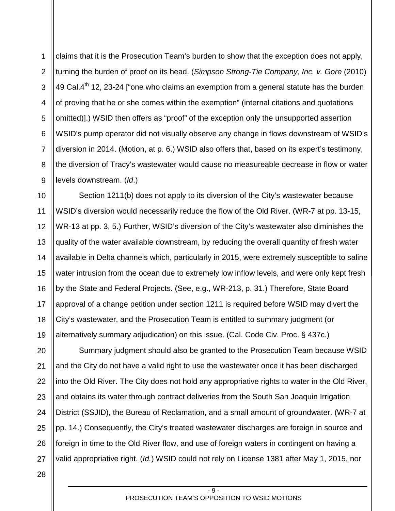1 2 3 4 5 6 7 8 9 claims that it is the Prosecution Team's burden to show that the exception does not apply, turning the burden of proof on its head. (*Simpson Strong-Tie Company, Inc. v. Gore* (2010) 49 Cal. $4^{\text{th}}$  12, 23-24 ["one who claims an exemption from a general statute has the burden of proving that he or she comes within the exemption" (internal citations and quotations omitted)].) WSID then offers as "proof" of the exception only the unsupported assertion WSID's pump operator did not visually observe any change in flows downstream of WSID's diversion in 2014. (Motion, at p. 6.) WSID also offers that, based on its expert's testimony, the diversion of Tracy's wastewater would cause no measureable decrease in flow or water levels downstream. (*Id*.)

10 11 12 13 14 15 16 17 18 19 Section 1211(b) does not apply to its diversion of the City's wastewater because WSID's diversion would necessarily reduce the flow of the Old River. (WR-7 at pp. 13-15, WR-13 at pp. 3, 5.) Further, WSID's diversion of the City's wastewater also diminishes the quality of the water available downstream, by reducing the overall quantity of fresh water available in Delta channels which, particularly in 2015, were extremely susceptible to saline water intrusion from the ocean due to extremely low inflow levels, and were only kept fresh by the State and Federal Projects. (See, e.g., WR-213, p. 31.) Therefore, State Board approval of a change petition under section 1211 is required before WSID may divert the City's wastewater, and the Prosecution Team is entitled to summary judgment (or alternatively summary adjudication) on this issue. (Cal. Code Civ. Proc. § 437c.)

20 21 22 23 24 25 26 27 Summary judgment should also be granted to the Prosecution Team because WSID and the City do not have a valid right to use the wastewater once it has been discharged into the Old River. The City does not hold any appropriative rights to water in the Old River, and obtains its water through contract deliveries from the South San Joaquin Irrigation District (SSJID), the Bureau of Reclamation, and a small amount of groundwater. (WR-7 at pp. 14.) Consequently, the City's treated wastewater discharges are foreign in source and foreign in time to the Old River flow, and use of foreign waters in contingent on having a valid appropriative right. (*Id.*) WSID could not rely on License 1381 after May 1, 2015, nor

28

 $- 9 -$ PROSECUTION TEAM'S OPPOSITION TO WSID MOTIONS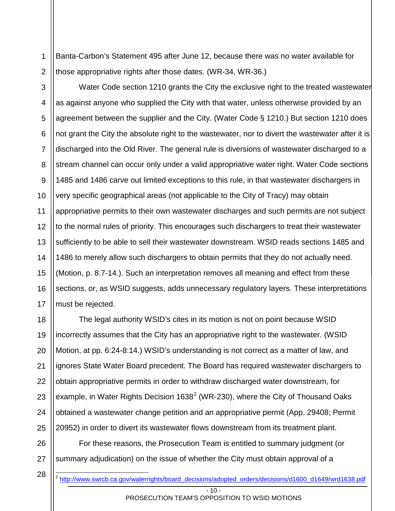1 2 Banta-Carbon's Statement 495 after June 12, because there was no water available for those appropriative rights after those dates. (WR-34, WR-36.)

3 4 5 6 7 8 9 10 11 12 13 14 15 16 17 Water Code section 1210 grants the City the exclusive right to the treated wastewater as against anyone who supplied the City with that water, unless otherwise provided by an agreement between the supplier and the City. (Water Code § 1210.) But section 1210 does not grant the City the absolute right to the wastewater, nor to divert the wastewater after it is discharged into the Old River. The general rule is diversions of wastewater discharged to a stream channel can occur only under a valid appropriative water right. Water Code sections 1485 and 1486 carve out limited exceptions to this rule, in that wastewater dischargers in very specific geographical areas (not applicable to the City of Tracy) may obtain appropriative permits to their own wastewater discharges and such permits are not subject to the normal rules of priority. This encourages such dischargers to treat their wastewater sufficiently to be able to sell their wastewater downstream. WSID reads sections 1485 and 1486 to merely allow such dischargers to obtain permits that they do not actually need. (Motion, p. 8:7-14.). Such an interpretation removes all meaning and effect from these sections, or, as WSID suggests, adds unnecessary regulatory layers. These interpretations must be rejected.

18 19 20 21 22 23 24 25 The legal authority WSID's cites in its motion is not on point because WSID incorrectly assumes that the City has an appropriative right to the wastewater. (WSID Motion, at pp. 6:24-8:14.) WSID's understanding is not correct as a matter of law, and ignores State Water Board precedent. The Board has required wastewater dischargers to obtain appropriative permits in order to withdraw discharged water downstream, for example, in Water Rights Decision  $1638^2$  $1638^2$  (WR-230), where the City of Thousand Oaks obtained a wastewater change petition and an appropriative permit (App. 29408; Permit 20952) in order to divert its wastewater flows downstream from its treatment plant.

<span id="page-12-0"></span>26 27 For these reasons, the Prosecution Team is entitled to summary judgment (or summary adjudication) on the issue of whether the City must obtain approval of a

 $-10 -$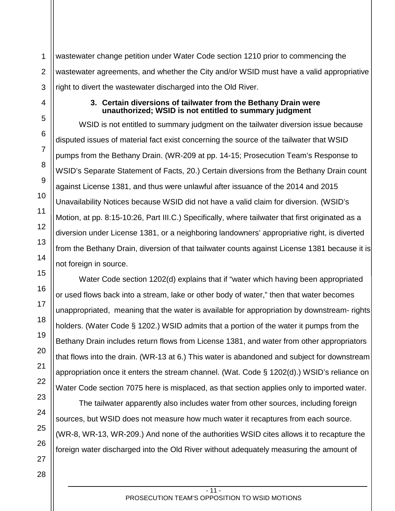2 3 wastewater change petition under Water Code section 1210 prior to commencing the wastewater agreements, and whether the City and/or WSID must have a valid appropriative right to divert the wastewater discharged into the Old River.

## **3. Certain diversions of tailwater from the Bethany Drain were unauthorized; WSID is not entitled to summary judgment**

WSID is not entitled to summary judgment on the tailwater diversion issue because disputed issues of material fact exist concerning the source of the tailwater that WSID pumps from the Bethany Drain. (WR-209 at pp. 14-15; Prosecution Team's Response to WSID's Separate Statement of Facts, 20.) Certain diversions from the Bethany Drain count against License 1381, and thus were unlawful after issuance of the 2014 and 2015 Unavailability Notices because WSID did not have a valid claim for diversion. (WSID's Motion, at pp. 8:15-10:26, Part III.C.) Specifically, where tailwater that first originated as a diversion under License 1381, or a neighboring landowners' appropriative right, is diverted from the Bethany Drain, diversion of that tailwater counts against License 1381 because it is not foreign in source.

Water Code section 1202(d) explains that if "water which having been appropriated or used flows back into a stream, lake or other body of water," then that water becomes unappropriated, meaning that the water is available for appropriation by downstream- rights holders. (Water Code § 1202.) WSID admits that a portion of the water it pumps from the Bethany Drain includes return flows from License 1381, and water from other appropriators that flows into the drain. (WR-13 at 6.) This water is abandoned and subject for downstream appropriation once it enters the stream channel. (Wat. Code § 1202(d).) WSID's reliance on Water Code section 7075 here is misplaced, as that section applies only to imported water.

The tailwater apparently also includes water from other sources, including foreign sources, but WSID does not measure how much water it recaptures from each source. (WR-8, WR-13, WR-209.) And none of the authorities WSID cites allows it to recapture the foreign water discharged into the Old River without adequately measuring the amount of

1

<span id="page-13-0"></span>4

5

6

7

8

9

10

11

12

13

14

15

16

17

18

19

20

21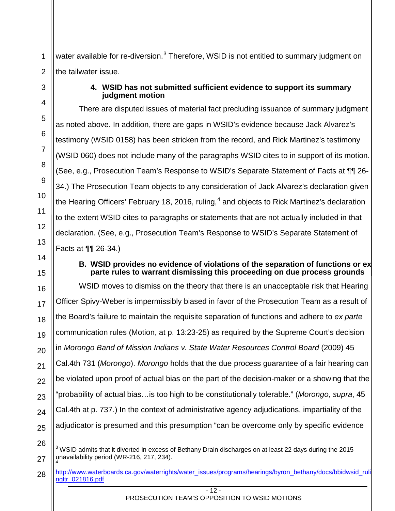1 2 water available for re-diversion. $3$  Therefore, WSID is not entitled to summary judgment on the tailwater issue.

## **4. WSID has not submitted sufficient evidence to support its summary judgment motion**

There are disputed issues of material fact precluding issuance of summary judgment as noted above. In addition, there are gaps in WSID's evidence because Jack Alvarez's testimony (WSID 0158) has been stricken from the record, and Rick Martinez's testimony (WSID 060) does not include many of the paragraphs WSID cites to in support of its motion. (See, e.g., Prosecution Team's Response to WSID's Separate Statement of Facts at ¶¶ 26- 34.) The Prosecution Team objects to any consideration of Jack Alvarez's declaration given the Hearing Officers' February 18, 2016, ruling, $4$  and objects to Rick Martinez's declaration to the extent WSID cites to paragraphs or statements that are not actually included in that declaration. (See, e.g., Prosecution Team's Response to WSID's Separate Statement of Facts at ¶¶ 26-34.)

## **B. WSID provides no evidence of violations of the separation of functions or ex parte rules to warrant dismissing this proceeding on due process grounds**

16 18 19 20 22 23 24 25 WSID moves to dismiss on the theory that there is an unacceptable risk that Hearing Officer Spivy-Weber is impermissibly biased in favor of the Prosecution Team as a result of the Board's failure to maintain the requisite separation of functions and adhere to *ex parte* communication rules (Motion, at p. 13:23-25) as required by the Supreme Court's decision in *Morongo Band of Mission Indians v. State Water Resources Control Board* (2009) 45 Cal.4th 731 (*Morongo*). *Morongo* holds that the due process guarantee of a fair hearing can be violated upon proof of actual bias on the part of the decision-maker or a showing that the "probability of actual bias…is too high to be constitutionally tolerable." (*Morongo*, *supra*, 45 Cal.4th at p. 737.) In the context of administrative agency adjudications, impartiality of the adjudicator is presumed and this presumption "can be overcome only by specific evidence

<span id="page-14-2"></span>26

27

<span id="page-14-0"></span>3

4

5

6

7

8

9

10

11

12

13

<span id="page-14-1"></span>14

15

17

<sup>3</sup> WSID admits that it diverted in excess of Bethany Drain discharges on at least 22 days during the 2015 unavailability period (WR-216, 217, 234). <sup>4</sup>

<span id="page-14-3"></span><sup>28</sup> [http://www.waterboards.ca.gov/waterrights/water\\_issues/programs/hearings/byron\\_bethany/docs/bbidwsid\\_ruli](http://www.waterboards.ca.gov/waterrights/water_issues/programs/hearings/byron_bethany/docs/bbidwsid_rulingltr_021816.pdf) [ngltr\\_021816.pdf](http://www.waterboards.ca.gov/waterrights/water_issues/programs/hearings/byron_bethany/docs/bbidwsid_rulingltr_021816.pdf)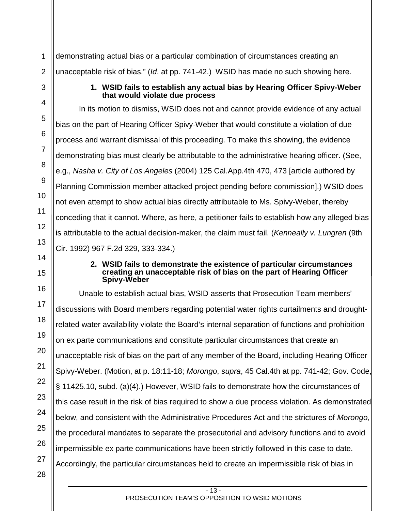demonstrating actual bias or a particular combination of circumstances creating an unacceptable risk of bias." (*Id*. at pp. 741-42.) WSID has made no such showing here.

## **1. WSID fails to establish any actual bias by Hearing Officer Spivy-Weber that would violate due process**

In its motion to dismiss, WSID does not and cannot provide evidence of any actual bias on the part of Hearing Officer Spivy-Weber that would constitute a violation of due process and warrant dismissal of this proceeding. To make this showing, the evidence demonstrating bias must clearly be attributable to the administrative hearing officer. (See, e.g., *Nasha v. City of Los Angeles* (2004) 125 Cal.App.4th 470, 473 [article authored by Planning Commission member attacked project pending before commission].) WSID does not even attempt to show actual bias directly attributable to Ms. Spivy-Weber, thereby conceding that it cannot. Where, as here, a petitioner fails to establish how any alleged bias is attributable to the actual decision-maker, the claim must fail. (*Kenneally v. Lungren* (9th Cir. 1992) 967 F.2d 329, 333-334.)

## **2. WSID fails to demonstrate the existence of particular circumstances creating an unacceptable risk of bias on the part of Hearing Officer Spivy-Weber**

Unable to establish actual bias, WSID asserts that Prosecution Team members' discussions with Board members regarding potential water rights curtailments and droughtrelated water availability violate the Board's internal separation of functions and prohibition on ex parte communications and constitute particular circumstances that create an unacceptable risk of bias on the part of any member of the Board, including Hearing Officer Spivy-Weber. (Motion, at p. 18:11-18; *Morongo*, *supra*, 45 Cal.4th at pp. 741-42; Gov. Code, § 11425.10, subd. (a)(4).) However, WSID fails to demonstrate how the circumstances of this case result in the risk of bias required to show a due process violation. As demonstrated below, and consistent with the Administrative Procedures Act and the strictures of *Morongo*, the procedural mandates to separate the prosecutorial and advisory functions and to avoid impermissible ex parte communications have been strictly followed in this case to date. Accordingly, the particular circumstances held to create an impermissible risk of bias in

1

2

<span id="page-15-0"></span>3

4

5

6

7

8

9

10

11

12

13

<span id="page-15-1"></span>14

15

16

17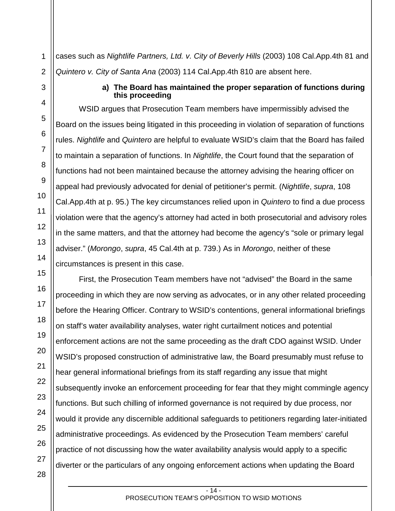<span id="page-16-0"></span>cases such as *Nightlife Partners, Ltd. v. City of Beverly Hills* (2003) 108 Cal.App.4th 81 and *Quintero v. City of Santa Ana* (2003) 114 Cal.App.4th 810 are absent here.

## **a) The Board has maintained the proper separation of functions during this proceeding**

WSID argues that Prosecution Team members have impermissibly advised the Board on the issues being litigated in this proceeding in violation of separation of functions rules. *Nightlife* and *Quintero* are helpful to evaluate WSID's claim that the Board has failed to maintain a separation of functions. In *Nightlife*, the Court found that the separation of functions had not been maintained because the attorney advising the hearing officer on appeal had previously advocated for denial of petitioner's permit. (*Nightlife*, *supra*, 108 Cal.App.4th at p. 95.) The key circumstances relied upon in *Quintero* to find a due process violation were that the agency's attorney had acted in both prosecutorial and advisory roles in the same matters, and that the attorney had become the agency's "sole or primary legal adviser." (*Morongo*, *supra*, 45 Cal.4th at p. 739.) As in *Morongo*, neither of these circumstances is present in this case.

First, the Prosecution Team members have not "advised" the Board in the same proceeding in which they are now serving as advocates, or in any other related proceeding before the Hearing Officer. Contrary to WSID's contentions, general informational briefings on staff's water availability analyses, water right curtailment notices and potential enforcement actions are not the same proceeding as the draft CDO against WSID. Under WSID's proposed construction of administrative law, the Board presumably must refuse to hear general informational briefings from its staff regarding any issue that might subsequently invoke an enforcement proceeding for fear that they might commingle agency functions. But such chilling of informed governance is not required by due process, nor would it provide any discernible additional safeguards to petitioners regarding later-initiated administrative proceedings. As evidenced by the Prosecution Team members' careful practice of not discussing how the water availability analysis would apply to a specific diverter or the particulars of any ongoing enforcement actions when updating the Board

#### - 14 - PROSECUTION TEAM'S OPPOSITION TO WSID MOTIONS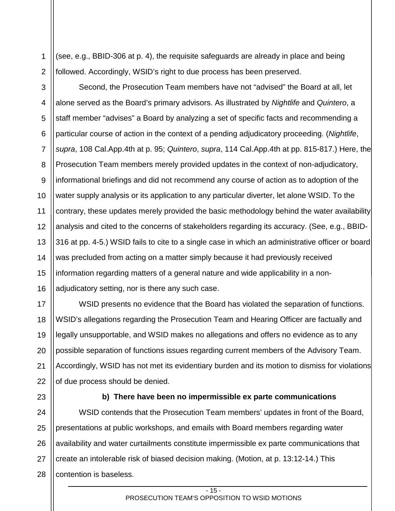2 (see, e.g., BBID-306 at p. 4), the requisite safeguards are already in place and being followed. Accordingly, WSID's right to due process has been preserved.

3 4 5 6 7 8 9 10 11 12 13 14 15 16 Second, the Prosecution Team members have not "advised" the Board at all, let alone served as the Board's primary advisors. As illustrated by *Nightlife* and *Quintero*, a staff member "advises" a Board by analyzing a set of specific facts and recommending a particular course of action in the context of a pending adjudicatory proceeding. (*Nightlife*, *supra*, 108 Cal.App.4th at p. 95; *Quintero*, *supra*, 114 Cal.App.4th at pp. 815-817.) Here, the Prosecution Team members merely provided updates in the context of non-adjudicatory, informational briefings and did not recommend any course of action as to adoption of the water supply analysis or its application to any particular diverter, let alone WSID. To the contrary, these updates merely provided the basic methodology behind the water availability analysis and cited to the concerns of stakeholders regarding its accuracy. (See, e.g., BBID-316 at pp. 4-5.) WSID fails to cite to a single case in which an administrative officer or board was precluded from acting on a matter simply because it had previously received information regarding matters of a general nature and wide applicability in a nonadjudicatory setting, nor is there any such case.

17 18 19 20 21 22 WSID presents no evidence that the Board has violated the separation of functions. WSID's allegations regarding the Prosecution Team and Hearing Officer are factually and legally unsupportable, and WSID makes no allegations and offers no evidence as to any possible separation of functions issues regarding current members of the Advisory Team. Accordingly, WSID has not met its evidentiary burden and its motion to dismiss for violations of due process should be denied.

<span id="page-17-0"></span>23

1

## **b) There have been no impermissible ex parte communications**

24 25 26 27 28 WSID contends that the Prosecution Team members' updates in front of the Board, presentations at public workshops, and emails with Board members regarding water availability and water curtailments constitute impermissible ex parte communications that create an intolerable risk of biased decision making. (Motion, at p. 13:12-14.) This contention is baseless.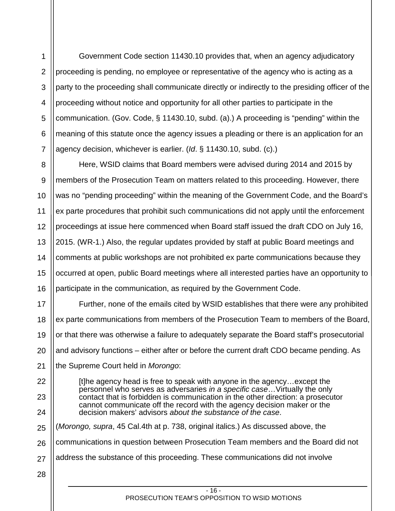1 2 3 4 5 6 7 Government Code section 11430.10 provides that, when an agency adjudicatory proceeding is pending, no employee or representative of the agency who is acting as a party to the proceeding shall communicate directly or indirectly to the presiding officer of the proceeding without notice and opportunity for all other parties to participate in the communication. (Gov. Code, § 11430.10, subd. (a).) A proceeding is "pending" within the meaning of this statute once the agency issues a pleading or there is an application for an agency decision, whichever is earlier. (*Id*. § 11430.10, subd. (c).)

8 9 10 11 12 13 14 15 16 Here, WSID claims that Board members were advised during 2014 and 2015 by members of the Prosecution Team on matters related to this proceeding. However, there was no "pending proceeding" within the meaning of the Government Code, and the Board's ex parte procedures that prohibit such communications did not apply until the enforcement proceedings at issue here commenced when Board staff issued the draft CDO on July 16, 2015. (WR-1.) Also, the regular updates provided by staff at public Board meetings and comments at public workshops are not prohibited ex parte communications because they occurred at open, public Board meetings where all interested parties have an opportunity to participate in the communication, as required by the Government Code.

17 18 19 20 21 Further, none of the emails cited by WSID establishes that there were any prohibited ex parte communications from members of the Prosecution Team to members of the Board, or that there was otherwise a failure to adequately separate the Board staff's prosecutorial and advisory functions – either after or before the current draft CDO became pending. As the Supreme Court held in *Morongo*:

[t]he agency head is free to speak with anyone in the agency…except the personnel who serves as adversaries *in a specific case*…Virtually the only contact that is forbidden is communication in the other direction: a prosecutor cannot communicate off the record with the agency decision maker or the decision makers' advisors *about the substance of the case*.

25 (*Morongo, supra*, 45 Cal.4th at p. 738, original italics.) As discussed above, the

26 communications in question between Prosecution Team members and the Board did not

- 27 address the substance of this proceeding. These communications did not involve
- 28

22

23